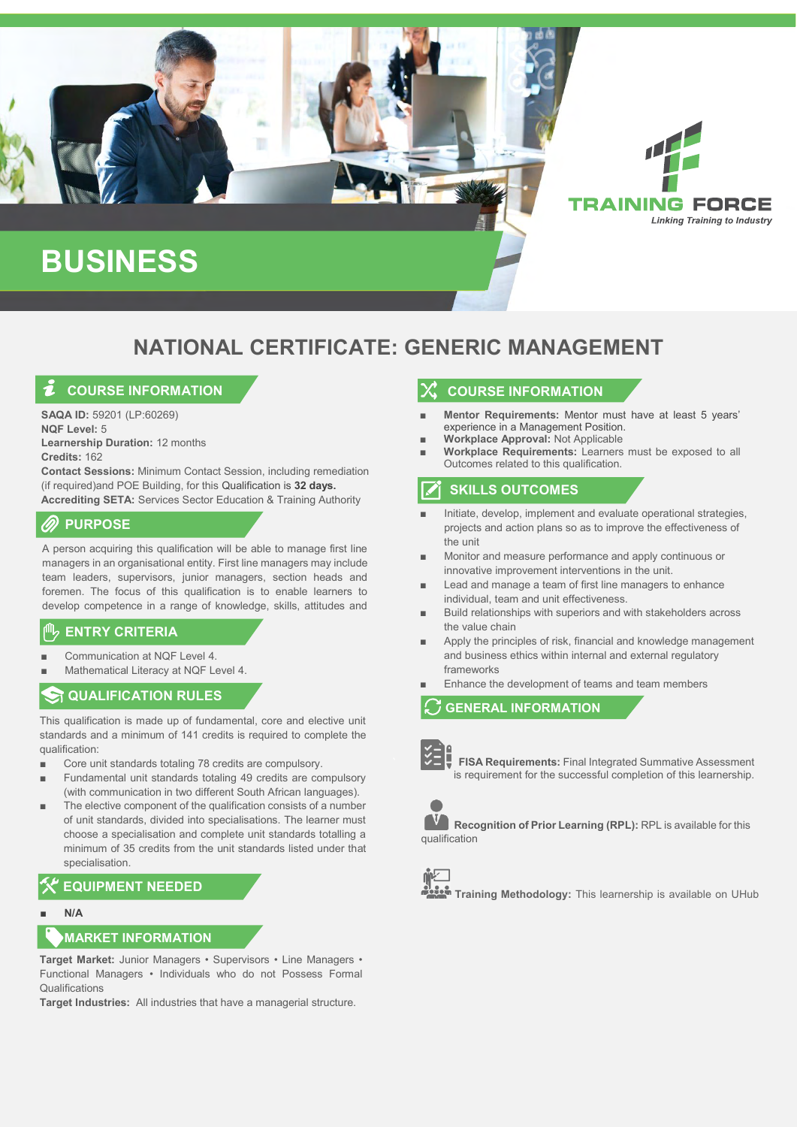

# **NATIONAL CERTIFICATE: GENERIC MANAGEMENT**

# **COURSE INFORMATION**

**SAQA ID:** 59201 (LP:60269) **NQF Level:** 5 **Learnership Duration:** 12 months **Credits:** 162

**Contact Sessions:** Minimum Contact Session, including remediation (if required)and POE Building, for this Qualification is **32 days. Accrediting SETA:** Services Sector Education & Training Authority

## **PURPOSE**

A person acquiring this qualification will be able to manage first line managers in an organisational entity. First line managers may include team leaders, supervisors, junior managers, section heads and foremen. The focus of this qualification is to enable learners to develop competence in a range of knowledge, skills, attitudes and

#### values. **ENTRY CRITERIA**

- Communication at NOF Level 4
- Mathematical Literacy at NQF Level 4.

## **ST QUALIFICATION RULES**

This qualification is made up of fundamental, core and elective unit standards and a minimum of 141 credits is required to complete the qualification:

- Core unit standards totaling 78 credits are compulsory.
- Fundamental unit standards totaling 49 credits are compulsory (with communication in two different South African languages).
- The elective component of the qualification consists of a number of unit standards, divided into specialisations. The learner must choose a specialisation and complete unit standards totalling a minimum of 35 credits from the unit standards listed under that specialisation.

# **EQUIPMENT NEEDED**

■ **N/A**

### **MARKET INFORMATION**

**Target Market:** Junior Managers • Supervisors • Line Managers • Functional Managers • Individuals who do not Possess Formal Qualifications

**Target Industries:** All industries that have a managerial structure.

# **COURSE INFORMATION**

- **Mentor Requirements:** Mentor must have at least 5 years' experience in a Management Position.
- **Workplace Approval:** Not Applicable
- **Workplace Requirements:** Learners must be exposed to all Outcomes related to this qualification.

# **SKILLS OUTCOMES**

- Initiate, develop, implement and evaluate operational strategies, projects and action plans so as to improve the effectiveness of the unit
- Monitor and measure performance and apply continuous or innovative improvement interventions in the unit.
- Lead and manage a team of first line managers to enhance individual, team and unit effectiveness.
- Build relationships with superiors and with stakeholders across the value chain
- Apply the principles of risk, financial and knowledge management and business ethics within internal and external regulatory frameworks
- Enhance the development of teams and team members

**GENERAL INFORMATION**



 **FISA Requirements:** Final Integrated Summative Assessment is requirement for the successful completion of this learnership.



**Recognition of Prior Learning (RPL):** RPL is available for this qualification



**Training Methodology:** This learnership is available on UHub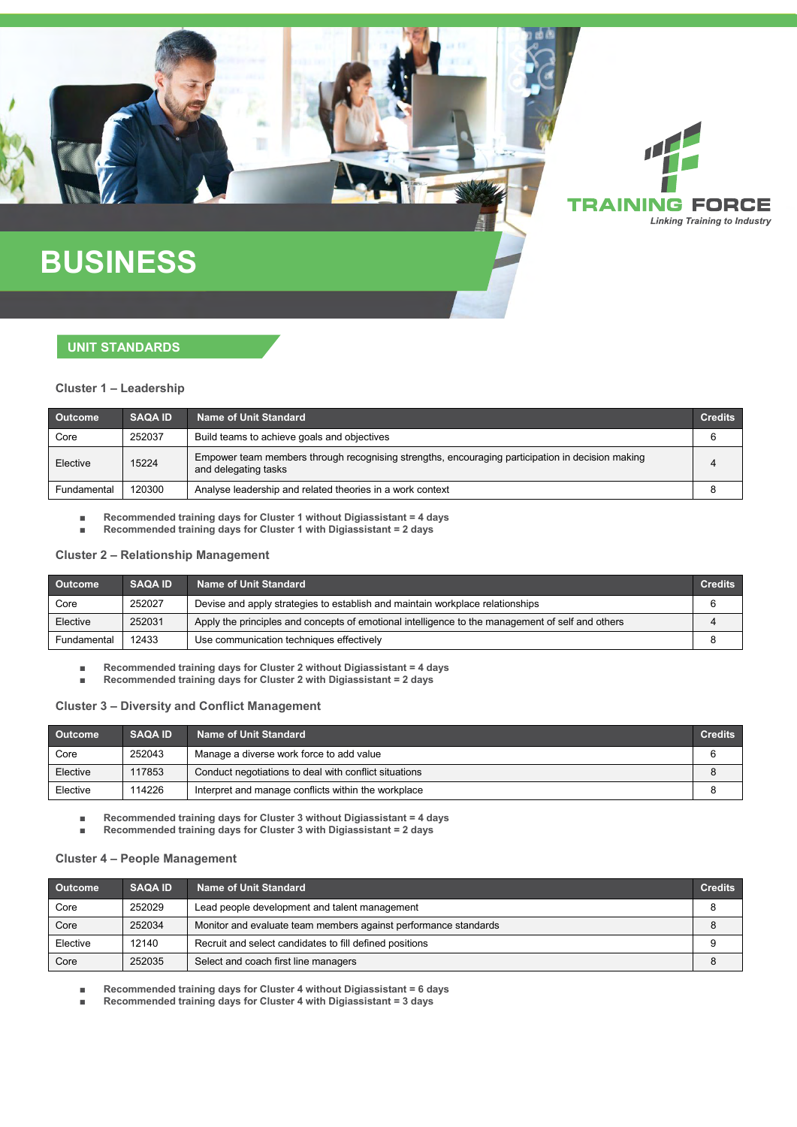

# **BUSINESS**

### **UNIT STANDARDS**

### **Cluster 1 – Leadership**

| <b>Outcome</b> | <b>SAQA ID</b> | Name of Unit Standard                                                                                                    | <b>Credits</b> |
|----------------|----------------|--------------------------------------------------------------------------------------------------------------------------|----------------|
| Core           | 252037         | Build teams to achieve goals and objectives                                                                              |                |
| Elective       | 15224          | Empower team members through recognising strengths, encouraging participation in decision making<br>and delegating tasks |                |
| Fundamental    | 120300         | Analyse leadership and related theories in a work context                                                                |                |

■ **Recommended training days for Cluster 1 without Digiassistant = 4 days** 

■ **Recommended training days for Cluster 1 with Digiassistant = 2 days** 

### **Cluster 2 – Relationship Management**

| <b>Outcome</b> | <b>SAQA ID</b> | Name of Unit Standard                                                                            | <b>Credits</b> |
|----------------|----------------|--------------------------------------------------------------------------------------------------|----------------|
| Core           | 252027         | Devise and apply strategies to establish and maintain workplace relationships                    |                |
| Elective       | 252031         | Apply the principles and concepts of emotional intelligence to the management of self and others |                |
| Fundamental    | 12433          | Use communication techniques effectively                                                         |                |

■ **Recommended training days for Cluster 2 without Digiassistant = 4 days** 

■ **Recommended training days for Cluster 2 with Digiassistant = 2 days** 

### **Cluster 3 – Diversity and Conflict Management**

| <b>Outcome</b> | <b>SAQA ID</b> | Name of Unit Standard                                 | <b>Credits</b> |
|----------------|----------------|-------------------------------------------------------|----------------|
| Core           | 252043         | Manage a diverse work force to add value              | 6              |
| Elective       | 117853         | Conduct negotiations to deal with conflict situations |                |
| Elective       | 114226         | Interpret and manage conflicts within the workplace   |                |

■ **Recommended training days for Cluster 3 without Digiassistant = 4 days** 

■ **Recommended training days for Cluster 3 with Digiassistant = 2 days** 

### **Cluster 4 – People Management**

| Outcome  | <b>SAQA ID</b> | Name of Unit Standard                                           | <b>Credits</b> |
|----------|----------------|-----------------------------------------------------------------|----------------|
| Core     | 252029         | Lead people development and talent management                   |                |
| Core     | 252034         | Monitor and evaluate team members against performance standards |                |
| Elective | 12140          | Recruit and select candidates to fill defined positions         |                |
| Core     | 252035         | Select and coach first line managers                            |                |

■ **Recommended training days for Cluster 4 without Digiassistant = 6 days** 

■ **Recommended training days for Cluster 4 with Digiassistant = 3 days**